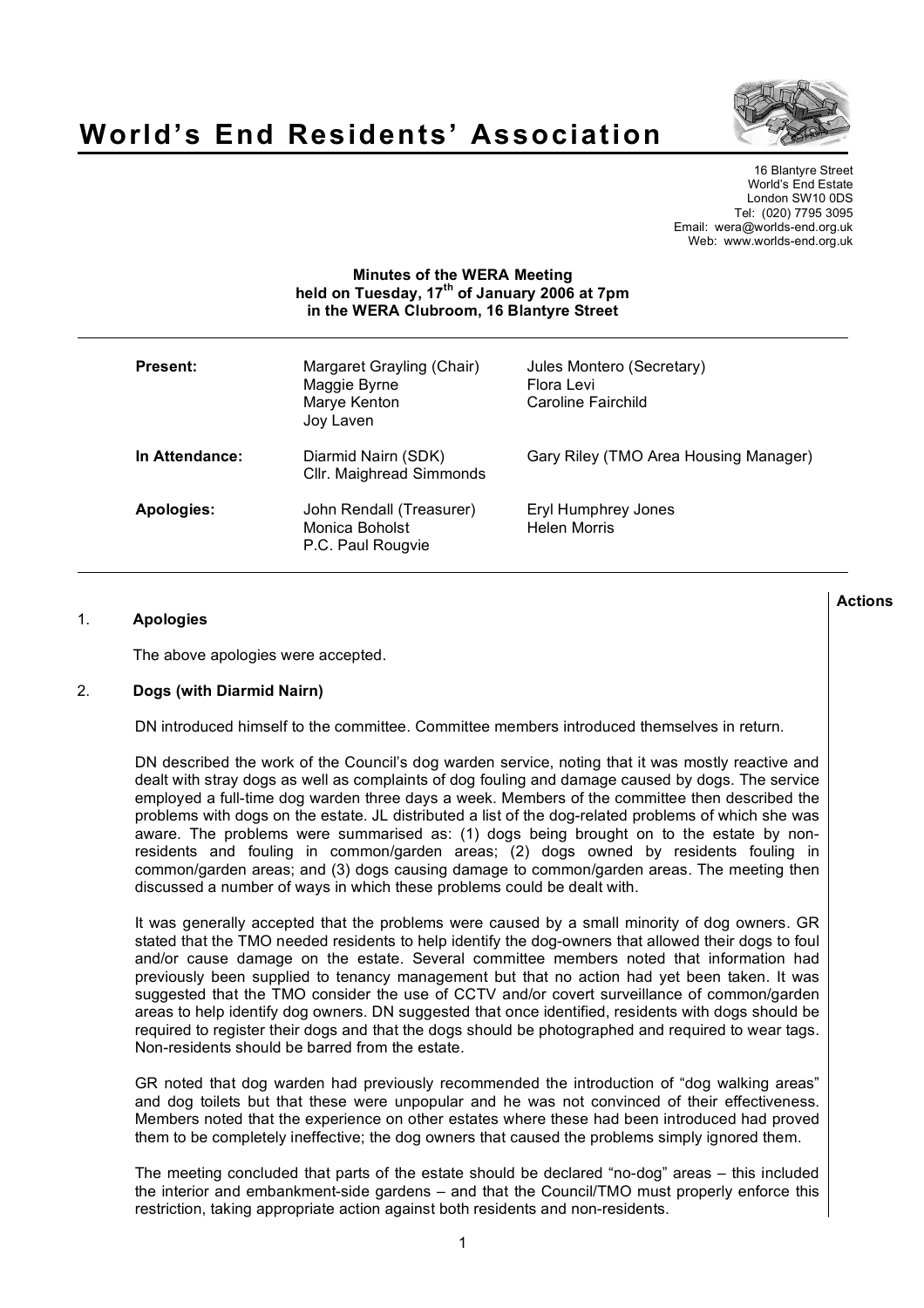



16 Blantyre Street World's End Estate London SW10 0DS Tel: (020) 7795 3095 Email: wera@worlds-end.org.uk Web: www.worlds-end.org.uk

### **Minutes of the WERA Meeting held on Tuesday, 17th of January 2006 at 7pm in the WERA Clubroom, 16 Blantyre Street**

| <b>Present:</b> | Margaret Grayling (Chair)<br>Maggie Byrne<br>Marye Kenton<br>Joy Laven | Jules Montero (Secretary)<br>Flora Levi<br>Caroline Fairchild |
|-----------------|------------------------------------------------------------------------|---------------------------------------------------------------|
| In Attendance:  | Diarmid Nairn (SDK)<br>Cllr. Maighread Simmonds                        | Gary Riley (TMO Area Housing Manager)                         |
| Apologies:      | John Rendall (Treasurer)<br>Monica Boholst<br>P.C. Paul Rougvie        | Eryl Humphrey Jones<br>Helen Morris                           |

# 1. **Apologies**

The above apologies were accepted.

# 2. **Dogs (with Diarmid Nairn)**

DN introduced himself to the committee. Committee members introduced themselves in return.

DN described the work of the Council's dog warden service, noting that it was mostly reactive and dealt with stray dogs as well as complaints of dog fouling and damage caused by dogs. The service employed a full-time dog warden three days a week. Members of the committee then described the problems with dogs on the estate. JL distributed a list of the dog-related problems of which she was aware. The problems were summarised as: (1) dogs being brought on to the estate by nonresidents and fouling in common/garden areas; (2) dogs owned by residents fouling in common/garden areas; and (3) dogs causing damage to common/garden areas. The meeting then discussed a number of ways in which these problems could be dealt with.

It was generally accepted that the problems were caused by a small minority of dog owners. GR stated that the TMO needed residents to help identify the dog-owners that allowed their dogs to foul and/or cause damage on the estate. Several committee members noted that information had previously been supplied to tenancy management but that no action had yet been taken. It was suggested that the TMO consider the use of CCTV and/or covert surveillance of common/garden areas to help identify dog owners. DN suggested that once identified, residents with dogs should be required to register their dogs and that the dogs should be photographed and required to wear tags. Non-residents should be barred from the estate.

GR noted that dog warden had previously recommended the introduction of "dog walking areas" and dog toilets but that these were unpopular and he was not convinced of their effectiveness. Members noted that the experience on other estates where these had been introduced had proved them to be completely ineffective; the dog owners that caused the problems simply ignored them.

The meeting concluded that parts of the estate should be declared "no-dog" areas – this included the interior and embankment-side gardens – and that the Council/TMO must properly enforce this restriction, taking appropriate action against both residents and non-residents.

**Actions**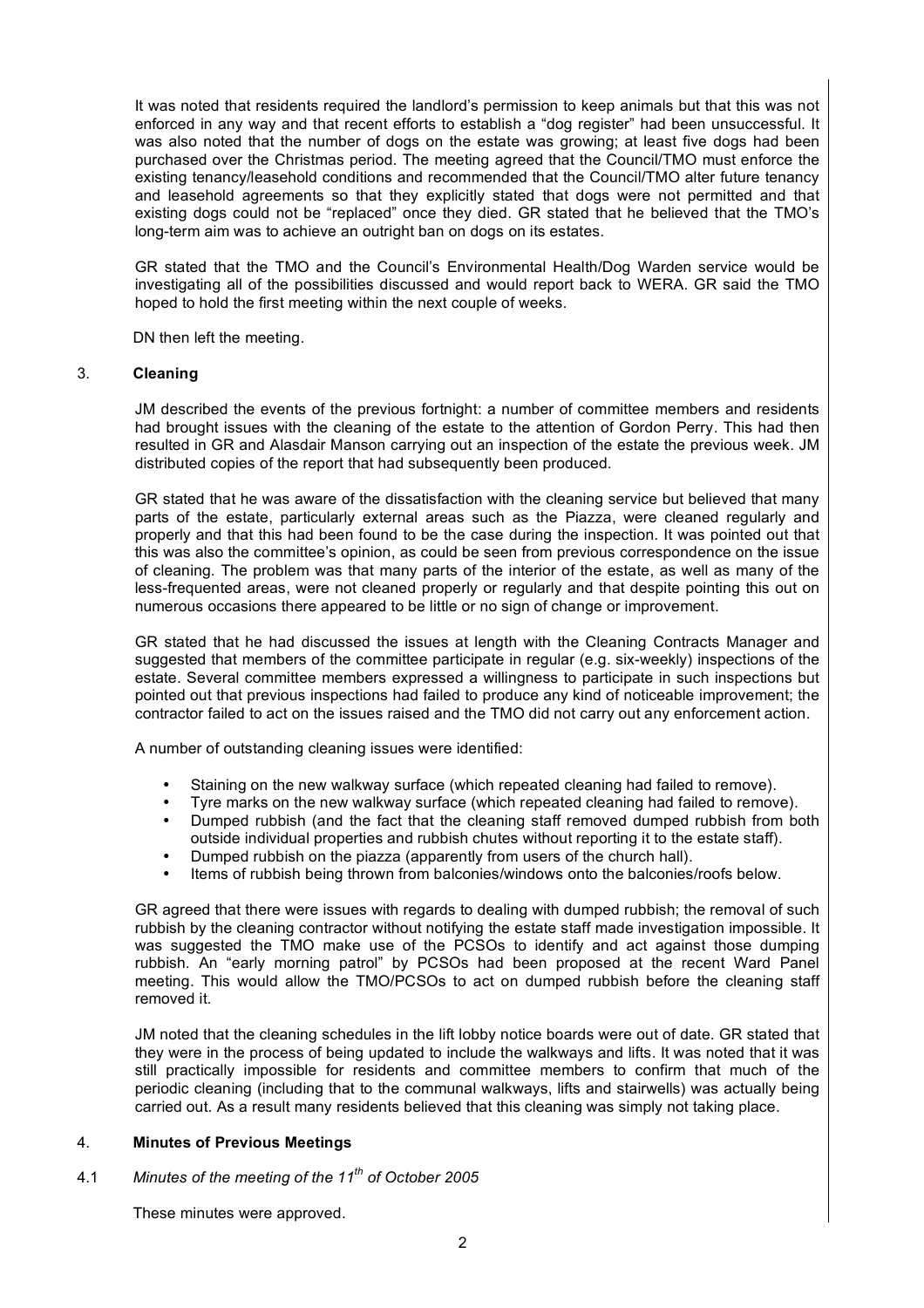It was noted that residents required the landlord's permission to keep animals but that this was not enforced in any way and that recent efforts to establish a "dog register" had been unsuccessful. It was also noted that the number of dogs on the estate was growing; at least five dogs had been purchased over the Christmas period. The meeting agreed that the Council/TMO must enforce the existing tenancy/leasehold conditions and recommended that the Council/TMO alter future tenancy and leasehold agreements so that they explicitly stated that dogs were not permitted and that existing dogs could not be "replaced" once they died. GR stated that he believed that the TMO's long-term aim was to achieve an outright ban on dogs on its estates.

GR stated that the TMO and the Council's Environmental Health/Dog Warden service would be investigating all of the possibilities discussed and would report back to WERA. GR said the TMO hoped to hold the first meeting within the next couple of weeks.

DN then left the meeting.

#### 3. **Cleaning**

JM described the events of the previous fortnight: a number of committee members and residents had brought issues with the cleaning of the estate to the attention of Gordon Perry. This had then resulted in GR and Alasdair Manson carrying out an inspection of the estate the previous week. JM distributed copies of the report that had subsequently been produced.

GR stated that he was aware of the dissatisfaction with the cleaning service but believed that many parts of the estate, particularly external areas such as the Piazza, were cleaned regularly and properly and that this had been found to be the case during the inspection. It was pointed out that this was also the committee's opinion, as could be seen from previous correspondence on the issue of cleaning. The problem was that many parts of the interior of the estate, as well as many of the less-frequented areas, were not cleaned properly or regularly and that despite pointing this out on numerous occasions there appeared to be little or no sign of change or improvement.

GR stated that he had discussed the issues at length with the Cleaning Contracts Manager and suggested that members of the committee participate in regular (e.g. six-weekly) inspections of the estate. Several committee members expressed a willingness to participate in such inspections but pointed out that previous inspections had failed to produce any kind of noticeable improvement; the contractor failed to act on the issues raised and the TMO did not carry out any enforcement action.

A number of outstanding cleaning issues were identified:

- Staining on the new walkway surface (which repeated cleaning had failed to remove).
- Tyre marks on the new walkway surface (which repeated cleaning had failed to remove).<br>• Dumped rubbish (and the fact that the cleaning staff removed dumped rubbish from bo
- Dumped rubbish (and the fact that the cleaning staff removed dumped rubbish from both outside individual properties and rubbish chutes without reporting it to the estate staff).
- Dumped rubbish on the piazza (apparently from users of the church hall).
- Items of rubbish being thrown from balconies/windows onto the balconies/roofs below.

GR agreed that there were issues with regards to dealing with dumped rubbish; the removal of such rubbish by the cleaning contractor without notifying the estate staff made investigation impossible. It was suggested the TMO make use of the PCSOs to identify and act against those dumping rubbish. An "early morning patrol" by PCSOs had been proposed at the recent Ward Panel meeting. This would allow the TMO/PCSOs to act on dumped rubbish before the cleaning staff removed it.

JM noted that the cleaning schedules in the lift lobby notice boards were out of date. GR stated that they were in the process of being updated to include the walkways and lifts. It was noted that it was still practically impossible for residents and committee members to confirm that much of the periodic cleaning (including that to the communal walkways, lifts and stairwells) was actually being carried out. As a result many residents believed that this cleaning was simply not taking place.

#### 4. **Minutes of Previous Meetings**

# 4.1 *Minutes of the meeting of the 11th of October 2005*

These minutes were approved.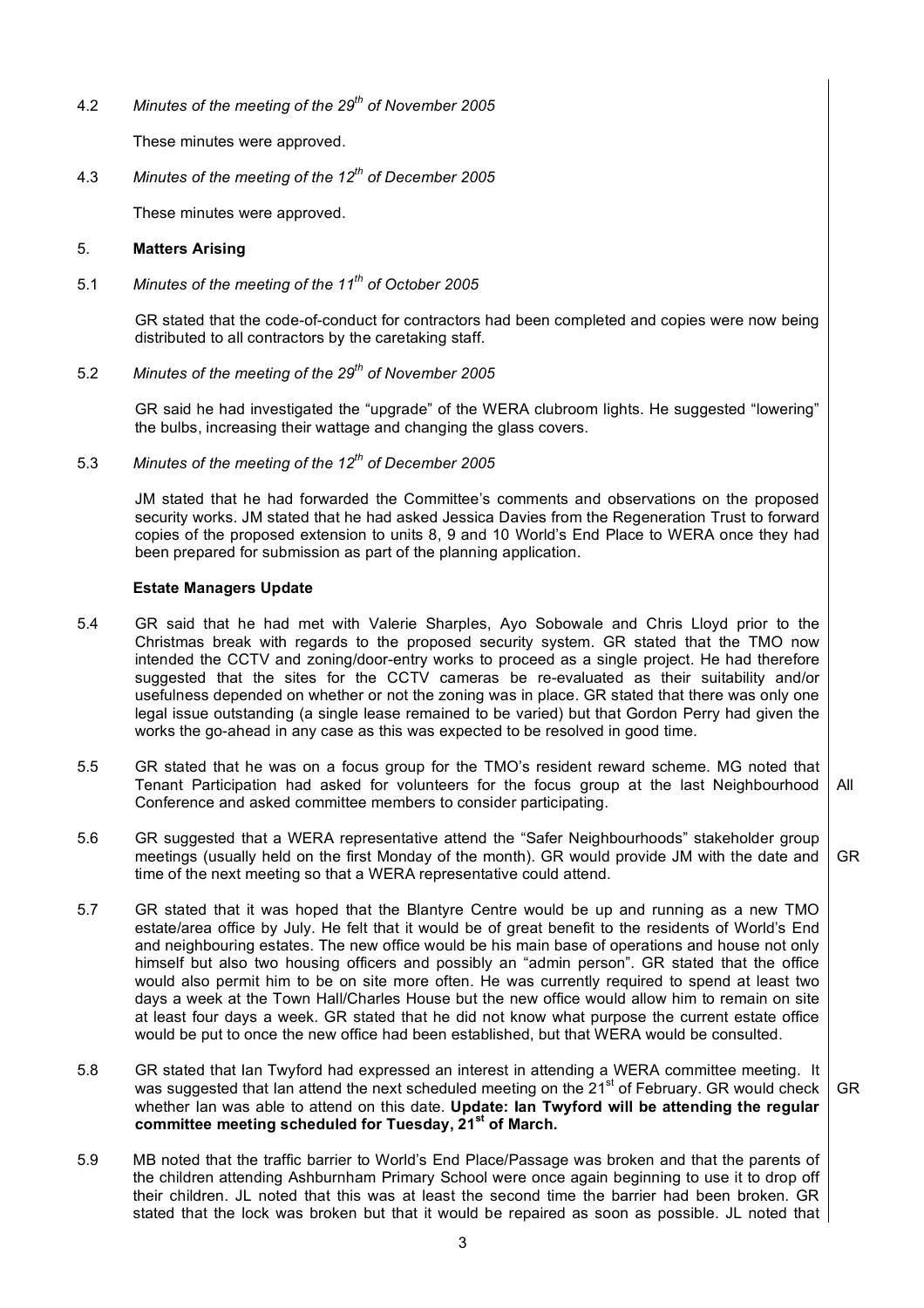4.2 *Minutes of the meeting of the 29th of November 2005*

These minutes were approved.

4.3 *Minutes of the meeting of the 12th of December 2005*

These minutes were approved.

# 5. **Matters Arising**

5.1 *Minutes of the meeting of the 11th of October 2005*

GR stated that the code-of-conduct for contractors had been completed and copies were now being distributed to all contractors by the caretaking staff.

5.2 *Minutes of the meeting of the 29th of November 2005*

GR said he had investigated the "upgrade" of the WERA clubroom lights. He suggested "lowering" the bulbs, increasing their wattage and changing the glass covers.

5.3 *Minutes of the meeting of the 12th of December 2005*

JM stated that he had forwarded the Committee's comments and observations on the proposed security works. JM stated that he had asked Jessica Davies from the Regeneration Trust to forward copies of the proposed extension to units 8, 9 and 10 World's End Place to WERA once they had been prepared for submission as part of the planning application.

# **Estate Managers Update**

- 5.4 GR said that he had met with Valerie Sharples, Ayo Sobowale and Chris Lloyd prior to the Christmas break with regards to the proposed security system. GR stated that the TMO now intended the CCTV and zoning/door-entry works to proceed as a single project. He had therefore suggested that the sites for the CCTV cameras be re-evaluated as their suitability and/or usefulness depended on whether or not the zoning was in place. GR stated that there was only one legal issue outstanding (a single lease remained to be varied) but that Gordon Perry had given the works the go-ahead in any case as this was expected to be resolved in good time.
- 5.5 GR stated that he was on a focus group for the TMO's resident reward scheme. MG noted that Tenant Participation had asked for volunteers for the focus group at the last Neighbourhood Conference and asked committee members to consider participating. All
- 5.6 GR suggested that a WERA representative attend the "Safer Neighbourhoods" stakeholder group meetings (usually held on the first Monday of the month). GR would provide JM with the date and time of the next meeting so that a WERA representative could attend. GR
- 5.7 GR stated that it was hoped that the Blantyre Centre would be up and running as a new TMO estate/area office by July. He felt that it would be of great benefit to the residents of World's End and neighbouring estates. The new office would be his main base of operations and house not only himself but also two housing officers and possibly an "admin person". GR stated that the office would also permit him to be on site more often. He was currently required to spend at least two days a week at the Town Hall/Charles House but the new office would allow him to remain on site at least four days a week. GR stated that he did not know what purpose the current estate office would be put to once the new office had been established, but that WERA would be consulted.
- 5.8 GR stated that Ian Twyford had expressed an interest in attending a WERA committee meeting. It was suggested that lan attend the next scheduled meeting on the 21<sup>st</sup> of February. GR would check whether Ian was able to attend on this date. **Update: Ian Twyford will be attending the regular committee meeting scheduled for Tuesday, 21st of March.** GR
- 5.9 MB noted that the traffic barrier to World's End Place/Passage was broken and that the parents of the children attending Ashburnham Primary School were once again beginning to use it to drop off their children. JL noted that this was at least the second time the barrier had been broken. GR stated that the lock was broken but that it would be repaired as soon as possible. JL noted that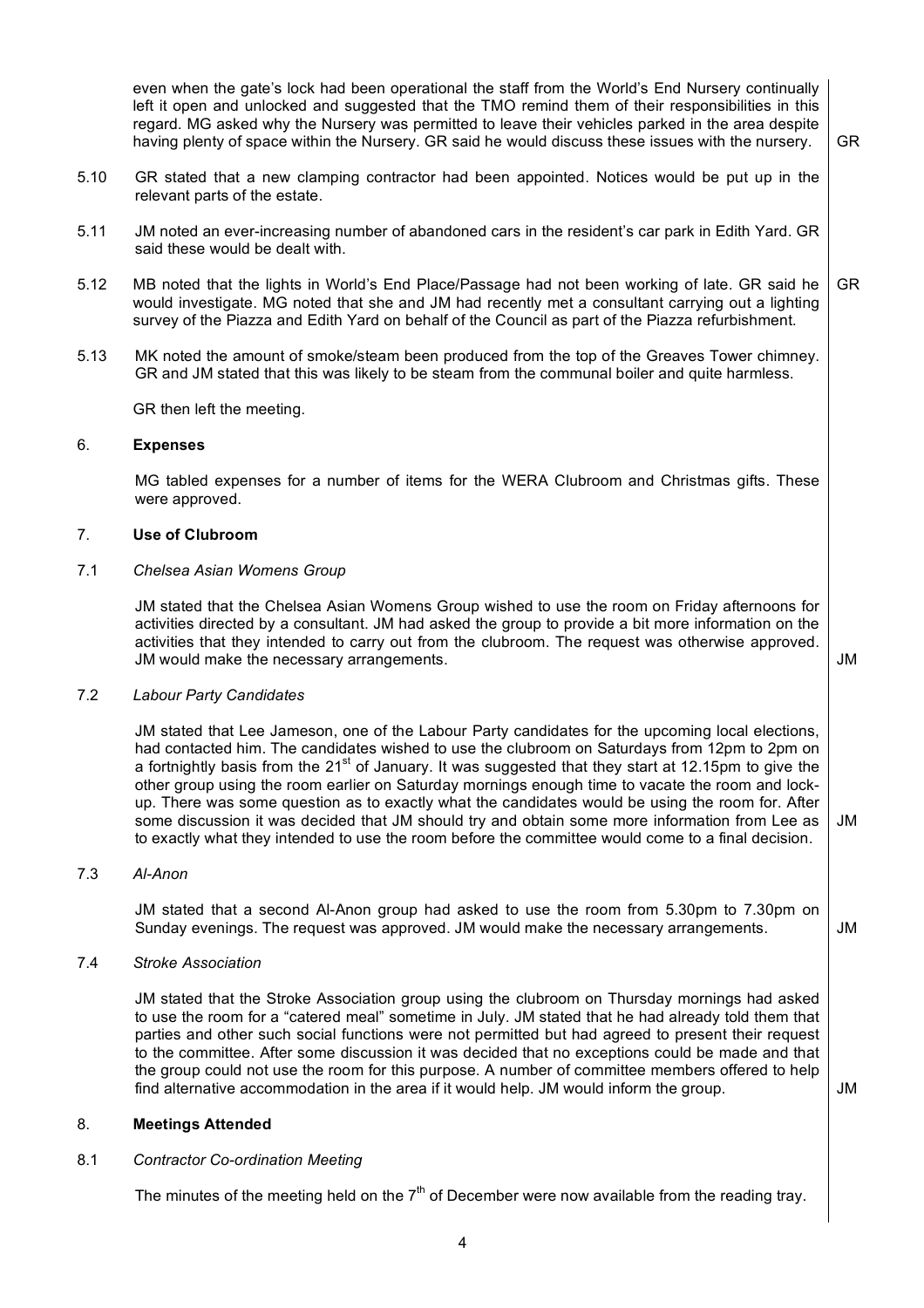even when the gate's lock had been operational the staff from the World's End Nursery continually left it open and unlocked and suggested that the TMO remind them of their responsibilities in this regard. MG asked why the Nursery was permitted to leave their vehicles parked in the area despite having plenty of space within the Nursery. GR said he would discuss these issues with the nursery. 5.10 GR stated that a new clamping contractor had been appointed. Notices would be put up in the relevant parts of the estate. 5.11 JM noted an ever-increasing number of abandoned cars in the resident's car park in Edith Yard. GR said these would be dealt with. 5.12 MB noted that the lights in World's End Place/Passage had not been working of late. GR said he would investigate. MG noted that she and JM had recently met a consultant carrying out a lighting survey of the Piazza and Edith Yard on behalf of the Council as part of the Piazza refurbishment. 5.13 MK noted the amount of smoke/steam been produced from the top of the Greaves Tower chimney. GR and JM stated that this was likely to be steam from the communal boiler and quite harmless. GR then left the meeting. GR GR 6. **Expenses** MG tabled expenses for a number of items for the WERA Clubroom and Christmas gifts. These were approved. 7. **Use of Clubroom** 7.1 *Chelsea Asian Womens Group* JM stated that the Chelsea Asian Womens Group wished to use the room on Friday afternoons for activities directed by a consultant. JM had asked the group to provide a bit more information on the activities that they intended to carry out from the clubroom. The request was otherwise approved. JM would make the necessary arrangements. 7.2 *Labour Party Candidates* JM stated that Lee Jameson, one of the Labour Party candidates for the upcoming local elections, had contacted him. The candidates wished to use the clubroom on Saturdays from 12pm to 2pm on a fortnightly basis from the 21<sup>st</sup> of January. It was suggested that they start at 12.15pm to give the other group using the room earlier on Saturday mornings enough time to vacate the room and lockup. There was some question as to exactly what the candidates would be using the room for. After some discussion it was decided that JM should try and obtain some more information from Lee as to exactly what they intended to use the room before the committee would come to a final decision. 7.3 *Al-Anon* JM stated that a second Al-Anon group had asked to use the room from 5.30pm to 7.30pm on Sunday evenings. The request was approved. JM would make the necessary arrangements. 7.4 *Stroke Association* JM stated that the Stroke Association group using the clubroom on Thursday mornings had asked to use the room for a "catered meal" sometime in July. JM stated that he had already told them that parties and other such social functions were not permitted but had agreed to present their request to the committee. After some discussion it was decided that no exceptions could be made and that the group could not use the room for this purpose. A number of committee members offered to help find alternative accommodation in the area if it would help. JM would inform the group. JM JM JM JM 8. **Meetings Attended** 8.1 *Contractor Co-ordination Meeting*

The minutes of the meeting held on the  $7<sup>th</sup>$  of December were now available from the reading tray.